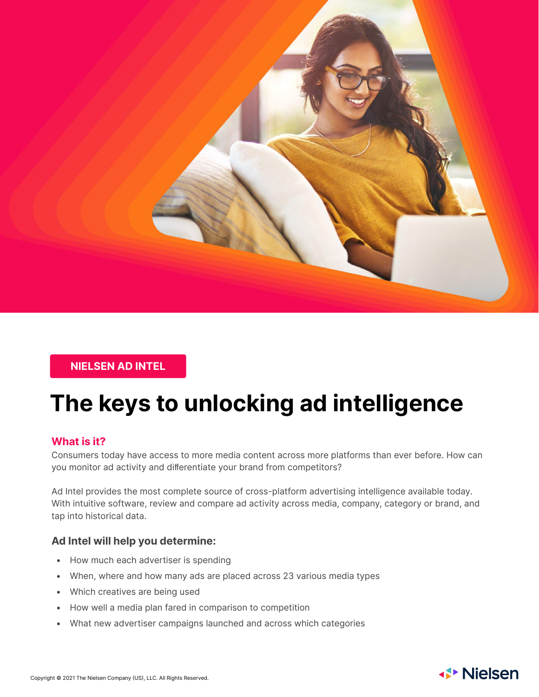

## **NIELSEN AD INTEL**

# **The keys to unlocking ad intelligence**

### **What is it?**

Consumers today have access to more media content across more platforms than ever before. How can you monitor ad activity and differentiate your brand from competitors?

Ad Intel provides the most complete source of cross-platform advertising intelligence available today. With intuitive software, review and compare ad activity across media, company, category or brand, and tap into historical data.

### **Ad Intel will help you determine:**

- How much each advertiser is spending
- When, where and how many ads are placed across 23 various media types
- Which creatives are being used
- How well a media plan fared in comparison to competition
- What new advertiser campaigns launched and across which categories